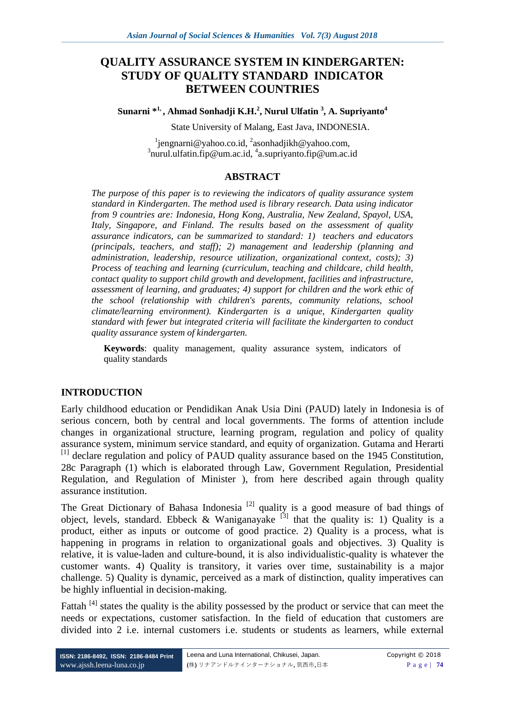# **QUALITY ASSURANCE SYSTEM IN KINDERGARTEN: STUDY OF QUALITY STANDARD INDICATOR BETWEEN COUNTRIES**

**Sunarni \*1, , Ahmad Sonhadji K.H.<sup>2</sup> , Nurul Ulfatin <sup>3</sup> , A. Supriyanto<sup>4</sup>**

State University of Malang, East Java, INDONESIA.

<sup>1</sup>[jengnarni@yahoo.co.id,](mailto:jengnarni@yahoo.co.id) <sup>2</sup>[asonhadjikh@yahoo.com,](mailto:asonhadjikh@yahoo.com) <sup>3</sup>[nurul.ulfatin.fip@um.ac.id,](mailto:nurul.ulfatin.fip@um.ac.id) <sup>4</sup>[a.supriyanto.fip@um.ac.id](mailto:a.supriyanto.fip@um.ac.id)

#### **ABSTRACT**

*The purpose of this paper is to reviewing the indicators of quality assurance system standard in Kindergarten. The method used is library research. Data using indicator from 9 countries are: Indonesia, Hong Kong, Australia, New Zealand, Spayol, USA, Italy, Singapore, and Finland. The results based on the assessment of quality assurance indicators, can be summarized to standard: 1) teachers and educators (principals, teachers, and staff); 2) management and leadership (planning and administration, leadership, resource utilization, organizational context, costs); 3) Process of teaching and learning (curriculum, teaching and childcare, child health, contact quality to support child growth and development, facilities and infrastructure, assessment of learning, and graduates; 4) support for children and the work ethic of the school (relationship with children's parents, community relations, school climate/learning environment). Kindergarten is a unique, Kindergarten quality standard with fewer but integrated criteria will facilitate the kindergarten to conduct quality assurance system of kindergarten.* 

**Keywords**: quality management, quality assurance system, indicators of quality standards

#### **INTRODUCTION**

Early childhood education or Pendidikan Anak Usia Dini (PAUD) lately in Indonesia is of serious concern, both by central and local governments. The forms of attention include changes in organizational structure, learning program, regulation and policy of quality assurance system, minimum service standard, and equity of organization. Gutama and Herarti  $^{[1]}$  declare regulation and policy of PAUD quality assurance based on the 1945 Constitution, 28c Paragraph (1) which is elaborated through Law, Government Regulation, Presidential Regulation, and Regulation of Minister ), from here described again through quality assurance institution.

The Great Dictionary of Bahasa Indonesia<sup>[2]</sup> quality is a good measure of bad things of object, levels, standard. Ebbeck & Waniganayake<sup>[3]</sup> that the quality is: 1) Quality is a product, either as inputs or outcome of good practice. 2) Quality is a process, what is happening in programs in relation to organizational goals and objectives. 3) Quality is relative, it is value-laden and culture-bound, it is also individualistic-quality is whatever the customer wants. 4) Quality is transitory, it varies over time, sustainability is a major challenge. 5) Quality is dynamic, perceived as a mark of distinction, quality imperatives can be highly influential in decision-making.

Fattah<sup>[4]</sup> states the quality is the ability possessed by the product or service that can meet the needs or expectations, customer satisfaction. In the field of education that customers are divided into 2 i.e. internal customers i.e. students or students as learners, while external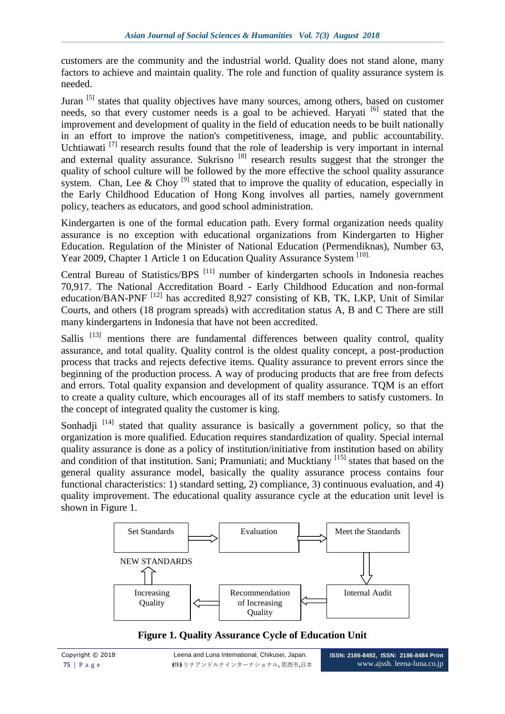customers are the community and the industrial world. Quality does not stand alone, many factors to achieve and maintain quality. The role and function of quality assurance system is needed.

Juran [5] states that quality objectives have many sources, among others, based on customer needs, so that every customer needs is a goal to be achieved. Haryati  $\left[6\right]$  stated that the improvement and development of quality in the field of education needs to be built nationally in an effort to improve the nation's competitiveness, image, and public accountability. Uchtiawati<sup>[7]</sup> research results found that the role of leadership is very important in internal and external quality assurance. Sukrisno <sup>[8]</sup> research results suggest that the stronger the quality of school culture will be followed by the more effective the school quality assurance system. Chan, Lee & Choy<sup>[9]</sup> stated that to improve the quality of education, especially in the Early Childhood Education of Hong Kong involves all parties, namely government policy, teachers as educators, and good school administration.

Kindergarten is one of the formal education path. Every formal organization needs quality assurance is no exception with educational organizations from Kindergarten to Higher Education. Regulation of the Minister of National Education (Permendiknas), Number 63, Year 2009, Chapter 1 Article 1 on Education Quality Assurance System [10].

Central Bureau of Statistics/BPS<sup>[11]</sup> number of kindergarten schools in Indonesia reaches 70,917. The National Accreditation Board - Early Childhood Education and non-formal education/BAN-PNF<sup>[12]</sup> has accredited 8,927 consisting of KB, TK, LKP, Unit of Similar Courts, and others (18 program spreads) with accreditation status A, B and C There are still many kindergartens in Indonesia that have not been accredited.

Sallis  $[13]$  mentions there are fundamental differences between quality control, quality assurance, and total quality. Quality control is the oldest quality concept, a post-production process that tracks and rejects defective items. Quality assurance to prevent errors since the beginning of the production process. A way of producing products that are free from defects and errors. Total quality expansion and development of quality assurance. TQM is an effort to create a quality culture, which encourages all of its staff members to satisfy customers. In the concept of integrated quality the customer is king.

Sonhadji  $[14]$  stated that quality assurance is basically a government policy, so that the organization is more qualified. Education requires standardization of quality. Special internal quality assurance is done as a policy of institution/initiative from institution based on ability and condition of that institution. Sani; Pramuniati; and Mucktiany <sup>[15]</sup> states that based on the general quality assurance model, basically the quality assurance process contains four functional characteristics: 1) standard setting, 2) compliance, 3) continuous evaluation, and 4) quality improvement. The educational quality assurance cycle at the education unit level is shown in Figure 1.



**Figure 1. Quality Assurance Cycle of Education Unit**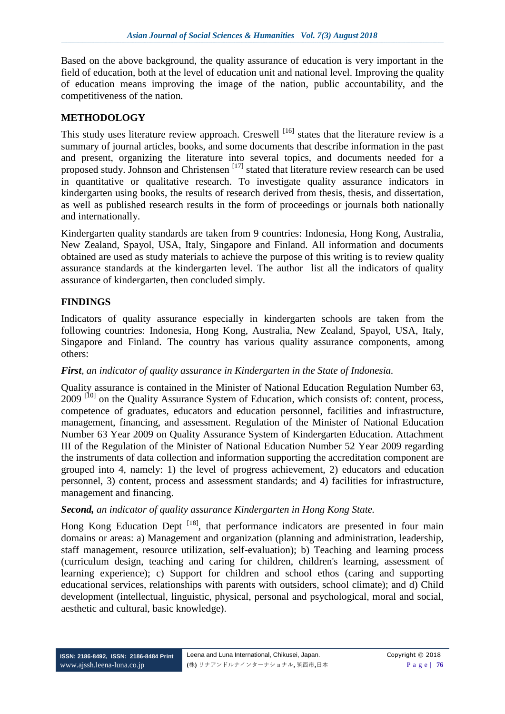Based on the above background, the quality assurance of education is very important in the field of education, both at the level of education unit and national level. Improving the quality of education means improving the image of the nation, public accountability, and the competitiveness of the nation.

## **METHODOLOGY**

This study uses literature review approach. Creswell <sup>[16]</sup> states that the literature review is a summary of journal articles, books, and some documents that describe information in the past and present, organizing the literature into several topics, and documents needed for a proposed study. Johnson and Christensen<sup>[17]</sup> stated that literature review research can be used in quantitative or qualitative research. To investigate quality assurance indicators in kindergarten using books, the results of research derived from thesis, thesis, and dissertation, as well as published research results in the form of proceedings or journals both nationally and internationally.

Kindergarten quality standards are taken from 9 countries: Indonesia, Hong Kong, Australia, New Zealand, Spayol, USA, Italy, Singapore and Finland. All information and documents obtained are used as study materials to achieve the purpose of this writing is to review quality assurance standards at the kindergarten level. The author list all the indicators of quality assurance of kindergarten, then concluded simply.

## **FINDINGS**

Indicators of quality assurance especially in kindergarten schools are taken from the following countries: Indonesia, Hong Kong, Australia, New Zealand, Spayol, USA, Italy, Singapore and Finland. The country has various quality assurance components, among others:

### *First, an indicator of quality assurance in Kindergarten in the State of Indonesia.*

Quality assurance is contained in the Minister of National Education Regulation Number 63, 2009<sup>[10]</sup> on the Quality Assurance System of Education, which consists of: content, process, competence of graduates, educators and education personnel, facilities and infrastructure, management, financing, and assessment. Regulation of the Minister of National Education Number 63 Year 2009 on Quality Assurance System of Kindergarten Education. Attachment III of the Regulation of the Minister of National Education Number 52 Year 2009 regarding the instruments of data collection and information supporting the accreditation component are grouped into 4, namely: 1) the level of progress achievement, 2) educators and education personnel, 3) content, process and assessment standards; and 4) facilities for infrastructure, management and financing.

### *Second, an indicator of quality assurance Kindergarten in Hong Kong State.*

Hong Kong Education Dept  $^{[18]}$ , that performance indicators are presented in four main domains or areas: a) Management and organization (planning and administration, leadership, staff management, resource utilization, self-evaluation); b) Teaching and learning process (curriculum design, teaching and caring for children, children's learning, assessment of learning experience); c) Support for children and school ethos (caring and supporting educational services, relationships with parents with outsiders, school climate); and d) Child development (intellectual, linguistic, physical, personal and psychological, moral and social, aesthetic and cultural, basic knowledge).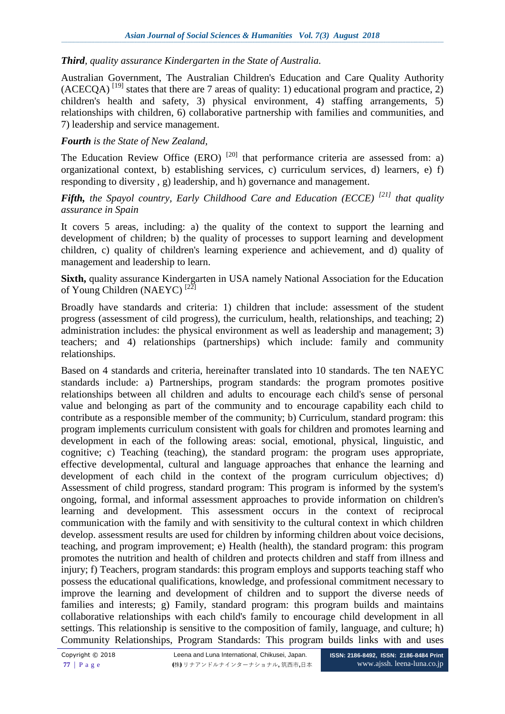### *Third, quality assurance Kindergarten in the State of Australia.*

Australian Government, The Australian Children's Education and Care Quality Authority  $(ACECOA)^{[19]}$  states that there are 7 areas of quality: 1) educational program and practice, 2) children's health and safety, 3) physical environment, 4) staffing arrangements, 5) relationships with children, 6) collaborative partnership with families and communities, and 7) leadership and service management.

### *Fourth is the State of New Zealand,*

The Education Review Office (ERO)  $[20]$  that performance criteria are assessed from: a) organizational context, b) establishing services, c) curriculum services, d) learners, e) f) responding to diversity , g) leadership, and h) governance and management.

### *Fifth, the Spayol country, Early Childhood Care and Education (ECCE) [21] that quality assurance in Spain*

It covers 5 areas, including: a) the quality of the context to support the learning and development of children; b) the quality of processes to support learning and development children, c) quality of children's learning experience and achievement, and d) quality of management and leadership to learn.

**Sixth,** quality assurance Kindergarten in USA namely National Association for the Education of Young Children (NAEYC) [22]

Broadly have standards and criteria: 1) children that include: assessment of the student progress (assessment of cild progress), the curriculum, health, relationships, and teaching; 2) administration includes: the physical environment as well as leadership and management; 3) teachers; and 4) relationships (partnerships) which include: family and community relationships.

Based on 4 standards and criteria, hereinafter translated into 10 standards. The ten NAEYC standards include: a) Partnerships, program standards: the program promotes positive relationships between all children and adults to encourage each child's sense of personal value and belonging as part of the community and to encourage capability each child to contribute as a responsible member of the community; b) Curriculum, standard program: this program implements curriculum consistent with goals for children and promotes learning and development in each of the following areas: social, emotional, physical, linguistic, and cognitive; c) Teaching (teaching), the standard program: the program uses appropriate, effective developmental, cultural and language approaches that enhance the learning and development of each child in the context of the program curriculum objectives; d) Assessment of child progress, standard program: This program is informed by the system's ongoing, formal, and informal assessment approaches to provide information on children's learning and development. This assessment occurs in the context of reciprocal communication with the family and with sensitivity to the cultural context in which children develop. assessment results are used for children by informing children about voice decisions, teaching, and program improvement; e) Health (health), the standard program: this program promotes the nutrition and health of children and protects children and staff from illness and injury; f) Teachers, program standards: this program employs and supports teaching staff who possess the educational qualifications, knowledge, and professional commitment necessary to improve the learning and development of children and to support the diverse needs of families and interests; g) Family, standard program: this program builds and maintains collaborative relationships with each child's family to encourage child development in all settings. This relationship is sensitive to the composition of family, language, and culture; h) Community Relationships, Program Standards: This program builds links with and uses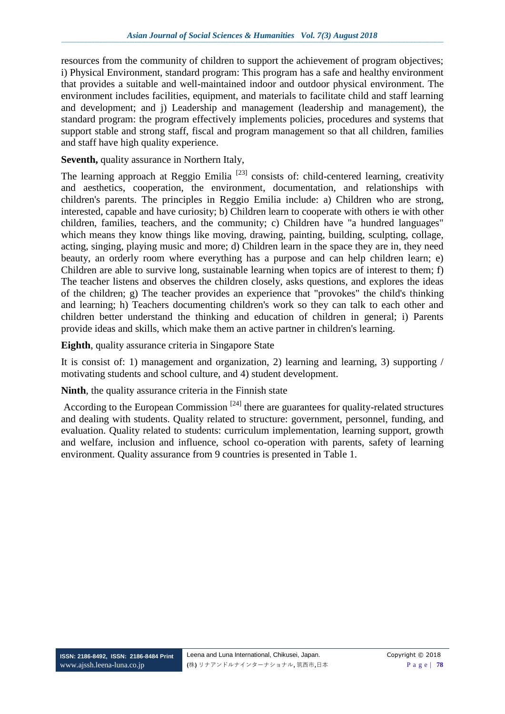resources from the community of children to support the achievement of program objectives; i) Physical Environment, standard program: This program has a safe and healthy environment that provides a suitable and well-maintained indoor and outdoor physical environment. The environment includes facilities, equipment, and materials to facilitate child and staff learning and development; and j) Leadership and management (leadership and management), the standard program: the program effectively implements policies, procedures and systems that support stable and strong staff, fiscal and program management so that all children, families and staff have high quality experience.

**Seventh,** quality assurance in Northern Italy,

The learning approach at Reggio Emilia<sup>[23]</sup> consists of: child-centered learning, creativity and aesthetics, cooperation, the environment, documentation, and relationships with children's parents. The principles in Reggio Emilia include: a) Children who are strong, interested, capable and have curiosity; b) Children learn to cooperate with others ie with other children, families, teachers, and the community; c) Children have "a hundred languages" which means they know things like moving, drawing, painting, building, sculpting, collage, acting, singing, playing music and more; d) Children learn in the space they are in, they need beauty, an orderly room where everything has a purpose and can help children learn; e) Children are able to survive long, sustainable learning when topics are of interest to them; f) The teacher listens and observes the children closely, asks questions, and explores the ideas of the children; g) The teacher provides an experience that "provokes" the child's thinking and learning; h) Teachers documenting children's work so they can talk to each other and children better understand the thinking and education of children in general; i) Parents provide ideas and skills, which make them an active partner in children's learning.

**Eighth**, quality assurance criteria in Singapore State

It is consist of: 1) management and organization, 2) learning and learning, 3) supporting / motivating students and school culture, and 4) student development.

#### **Ninth**, the quality assurance criteria in the Finnish state

According to the European Commission<sup>[24]</sup> there are guarantees for quality-related structures and dealing with students. Quality related to structure: government, personnel, funding, and evaluation. Quality related to students: curriculum implementation, learning support, growth and welfare, inclusion and influence, school co-operation with parents, safety of learning environment. Quality assurance from 9 countries is presented in Table 1.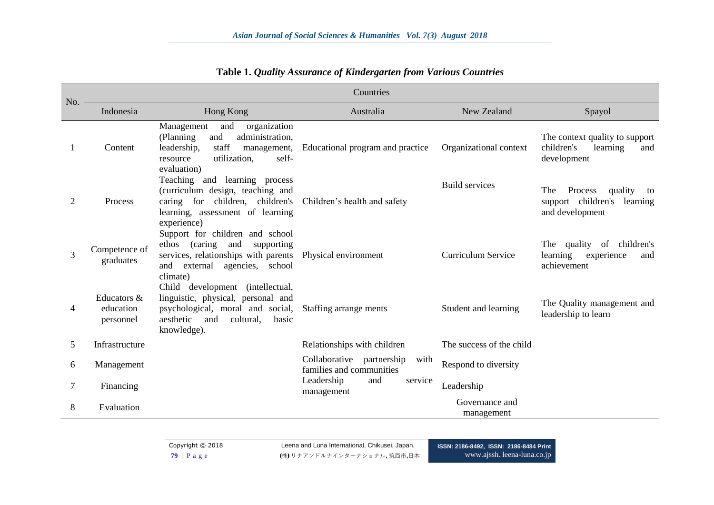| No.                         | Countries                             |                                                                                                                                                                      |                                                               |                              |                                                                                   |  |
|-----------------------------|---------------------------------------|----------------------------------------------------------------------------------------------------------------------------------------------------------------------|---------------------------------------------------------------|------------------------------|-----------------------------------------------------------------------------------|--|
|                             | Indonesia                             | Hong Kong                                                                                                                                                            | Australia                                                     | New Zealand                  | Spayol                                                                            |  |
|                             | Content                               | Management<br>organization<br>and<br>administration,<br>(Planning)<br>and<br>staff<br>leadership,<br>management,<br>utilization,<br>self-<br>resource<br>evaluation) | Educational program and practice                              | Organizational context       | The context quality to support<br>children's<br>learning<br>and<br>development    |  |
| $\mathcal{D}_{\mathcal{L}}$ | Process                               | Teaching and learning process<br>(curriculum design, teaching and<br>caring for children, children's<br>learning, assessment of learning<br>experience)              | Children's health and safety                                  | <b>Build services</b>        | The<br>Process<br>quality<br>to<br>support children's learning<br>and development |  |
| 3                           | Competence of<br>graduates            | Support for children and school<br>(caring)<br>ethos<br>and<br>supporting<br>services, relationships with parents<br>and external agencies, school<br>climate)       | Physical environment                                          | <b>Curriculum Service</b>    | children's<br>The quality of<br>learning<br>experience<br>and<br>achievement      |  |
| 4                           | Educators &<br>education<br>personnel | Child development (intellectual,<br>linguistic, physical, personal and<br>psychological, moral and social,<br>aesthetic<br>and<br>cultural,<br>basic<br>knowledge).  | Staffing arrange ments                                        | Student and learning         | The Quality management and<br>leadership to learn                                 |  |
| 5                           | Infrastructure                        |                                                                                                                                                                      | Relationships with children                                   | The success of the child     |                                                                                   |  |
| 6                           | Management                            |                                                                                                                                                                      | Collaborative partnership<br>with<br>families and communities | Respond to diversity         |                                                                                   |  |
| 7                           | Financing                             |                                                                                                                                                                      | Leadership<br>and<br>service<br>management                    | Leadership                   |                                                                                   |  |
| 8                           | Evaluation                            |                                                                                                                                                                      |                                                               | Governance and<br>management |                                                                                   |  |

## **Table 1.** *Quality Assurance of Kindergarten from Various Countries*

Copyright © 2018 Leena and Luna International, Chikusei, Japan. **79** | P a g e (株) リナアンドルナインターナショナル, 筑西市,日本 **ISSN: 2186-8492, ISSN: 2186-8484 Print** www.ajssh. [leena-luna.co.jp](http://www.ajssh.leena-luna.co.jp/)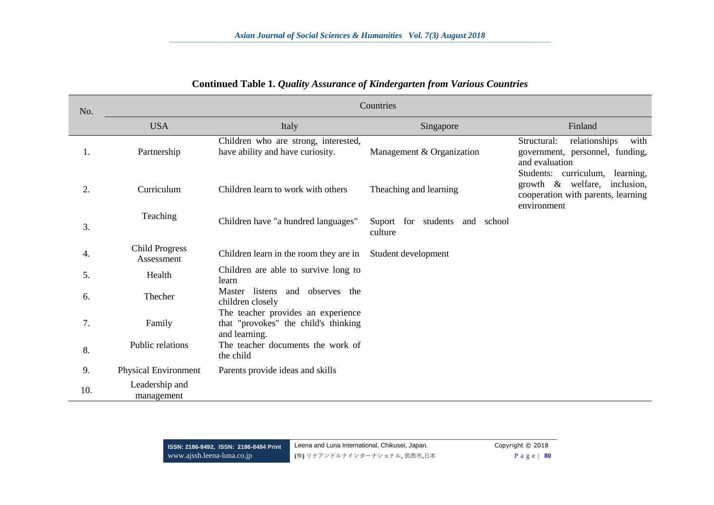| No. | Countries                           |                                                                                             |                                              |                                                                                                                                 |  |  |
|-----|-------------------------------------|---------------------------------------------------------------------------------------------|----------------------------------------------|---------------------------------------------------------------------------------------------------------------------------------|--|--|
|     | <b>USA</b>                          | Italy                                                                                       | Singapore                                    | Finland                                                                                                                         |  |  |
| 1.  | Partnership                         | Children who are strong, interested,<br>have ability and have curiosity.                    | Management & Organization                    | with<br>relationships<br>Structural:<br>government, personnel, funding,<br>and evaluation<br>Students: curriculum,<br>learning, |  |  |
| 2.  | Curriculum                          | Children learn to work with others                                                          | Theaching and learning                       | growth $\&$ welfare,<br>inclusion,<br>cooperation with parents, learning<br>environment                                         |  |  |
| 3.  | Teaching                            | Children have "a hundred languages"                                                         | Suport for students<br>and school<br>culture |                                                                                                                                 |  |  |
| 4.  | <b>Child Progress</b><br>Assessment | Children learn in the room they are in                                                      | Student development                          |                                                                                                                                 |  |  |
| 5.  | Health                              | Children are able to survive long to<br>learn                                               |                                              |                                                                                                                                 |  |  |
| 6.  | Thecher                             | Master listens and observes the<br>children closely                                         |                                              |                                                                                                                                 |  |  |
| 7.  | Family                              | The teacher provides an experience<br>that "provokes" the child's thinking<br>and learning. |                                              |                                                                                                                                 |  |  |
| 8.  | Public relations                    | The teacher documents the work of<br>the child                                              |                                              |                                                                                                                                 |  |  |
| 9.  | Physical Environment                | Parents provide ideas and skills                                                            |                                              |                                                                                                                                 |  |  |
| 10. | Leadership and<br>management        |                                                                                             |                                              |                                                                                                                                 |  |  |

#### **Continued Table 1.** *Quality Assurance of Kindergarten from Various Countries*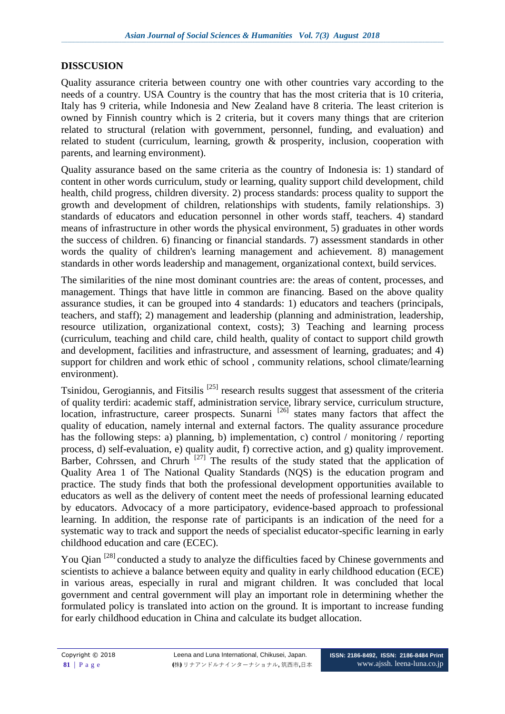#### **DISSCUSION**

Quality assurance criteria between country one with other countries vary according to the needs of a country. USA Country is the country that has the most criteria that is 10 criteria, Italy has 9 criteria, while Indonesia and New Zealand have 8 criteria. The least criterion is owned by Finnish country which is 2 criteria, but it covers many things that are criterion related to structural (relation with government, personnel, funding, and evaluation) and related to student (curriculum, learning, growth & prosperity, inclusion, cooperation with parents, and learning environment).

Quality assurance based on the same criteria as the country of Indonesia is: 1) standard of content in other words curriculum, study or learning, quality support child development, child health, child progress, children diversity. 2) process standards: process quality to support the growth and development of children, relationships with students, family relationships. 3) standards of educators and education personnel in other words staff, teachers. 4) standard means of infrastructure in other words the physical environment, 5) graduates in other words the success of children. 6) financing or financial standards. 7) assessment standards in other words the quality of children's learning management and achievement. 8) management standards in other words leadership and management, organizational context, build services.

The similarities of the nine most dominant countries are: the areas of content, processes, and management. Things that have little in common are financing. Based on the above quality assurance studies, it can be grouped into 4 standards: 1) educators and teachers (principals, teachers, and staff); 2) management and leadership (planning and administration, leadership, resource utilization, organizational context, costs); 3) Teaching and learning process (curriculum, teaching and child care, child health, quality of contact to support child growth and development, facilities and infrastructure, and assessment of learning, graduates; and 4) support for children and work ethic of school , community relations, school climate/learning environment).

Tsinidou, Gerogiannis, and Fitsilis<sup>[25]</sup> research results suggest that assessment of the criteria of quality terdiri: academic staff, administration service, library service, curriculum structure, location, infrastructure, career prospects. Sunarni  $^{[26]}$  states many factors that affect the quality of education, namely internal and external factors. The quality assurance procedure has the following steps: a) planning, b) implementation, c) control / monitoring / reporting process, d) self-evaluation, e) quality audit, f) corrective action, and g) quality improvement. Barber, Cohrssen, and Chrurh  $^{[27]}$  The results of the study stated that the application of Quality Area 1 of The National Quality Standards (NQS) is the education program and practice. The study finds that both the professional development opportunities available to educators as well as the delivery of content meet the needs of professional learning educated by educators. Advocacy of a more participatory, evidence-based approach to professional learning. In addition, the response rate of participants is an indication of the need for a systematic way to track and support the needs of specialist educator-specific learning in early childhood education and care (ECEC).

You Oian <sup>[28]</sup> conducted a study to analyze the difficulties faced by Chinese governments and scientists to achieve a balance between equity and quality in early childhood education (ECE) in various areas, especially in rural and migrant children. It was concluded that local government and central government will play an important role in determining whether the formulated policy is translated into action on the ground. It is important to increase funding for early childhood education in China and calculate its budget allocation.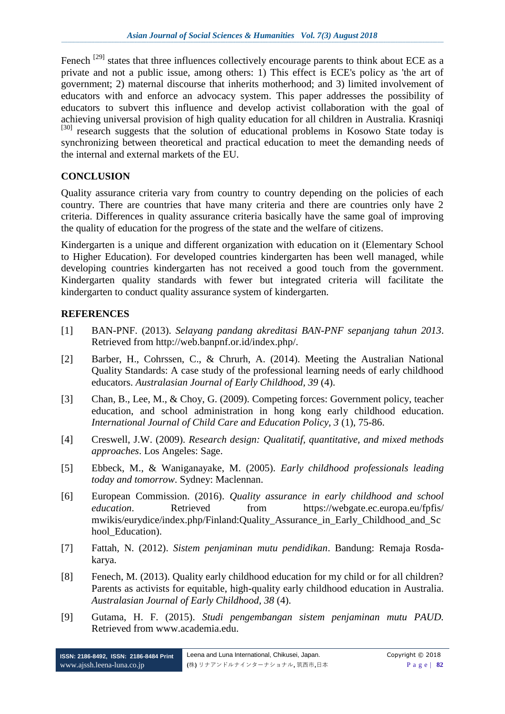Fenech  $^{[29]}$  states that three influences collectively encourage parents to think about ECE as a private and not a public issue, among others: 1) This effect is ECE's policy as 'the art of government; 2) maternal discourse that inherits motherhood; and 3) limited involvement of educators with and enforce an advocacy system. This paper addresses the possibility of educators to subvert this influence and develop activist collaboration with the goal of achieving universal provision of high quality education for all children in Australia. Krasniqi [30] research suggests that the solution of educational problems in Kosowo State today is synchronizing between theoretical and practical education to meet the demanding needs of the internal and external markets of the EU.

## **CONCLUSION**

Quality assurance criteria vary from country to country depending on the policies of each country. There are countries that have many criteria and there are countries only have 2 criteria. Differences in quality assurance criteria basically have the same goal of improving the quality of education for the progress of the state and the welfare of citizens.

Kindergarten is a unique and different organization with education on it (Elementary School to Higher Education). For developed countries kindergarten has been well managed, while developing countries kindergarten has not received a good touch from the government. Kindergarten quality standards with fewer but integrated criteria will facilitate the kindergarten to conduct quality assurance system of kindergarten.

### **REFERENCES**

- [1] BAN-PNF. (2013). *Selayang pandang akreditasi BAN-PNF sepanjang tahun 2013*. Retrieved from [http://web.banpnf.or.id/index.php/.](http://web.banpnf.or.id/index.php/)
- [2] Barber, H., Cohrssen, C., & Chrurh, A. (2014). Meeting the Australian National Quality Standards: A case study of the professional learning needs of early childhood educators. *Australasian Journal of Early Childhood, 39* (4).
- [3] Chan, B., Lee, M., & Choy, G. (2009). Competing forces: Government policy, teacher education, and school administration in hong kong early childhood education. *International Journal of Child Care and Education Policy, 3* (1), 75-86.
- [4] Creswell, J.W. (2009). *Research design: Qualitatif, quantitative, and mixed methods approaches*. Los Angeles: Sage.
- [5] Ebbeck, M., & Waniganayake, M. (2005). *Early childhood professionals leading today and tomorrow*. Sydney: Maclennan.
- [6] European Commission. (2016). *Quality assurance in early childhood and school education*. Retrieved from https://webgate.ec.europa.eu/fpfis/ [mwikis/eurydice/index.php/Finland:Quality\\_Assurance\\_in\\_Early\\_Childhood\\_and\\_Sc](https://webgate.ec.europa.eu/fpfis/%20mwikis/eurydice/index.php/Finland:Quality_Assurance_in_Early_Childhood_and_School_Education) hool Education).
- [7] Fattah, N. (2012). *Sistem penjaminan mutu pendidikan*. Bandung: Remaja Rosdakarya.
- [8] Fenech, M. (2013). Quality early childhood education for my child or for all children? Parents as activists for equitable, high-quality early childhood education in Australia. *Australasian Journal of Early Childhood, 38* (4).
- [9] Gutama, H. F. (2015). *Studi pengembangan sistem penjaminan mutu PAUD.* Retrieved from [www.academia.edu.](http://www.academia.edu/)